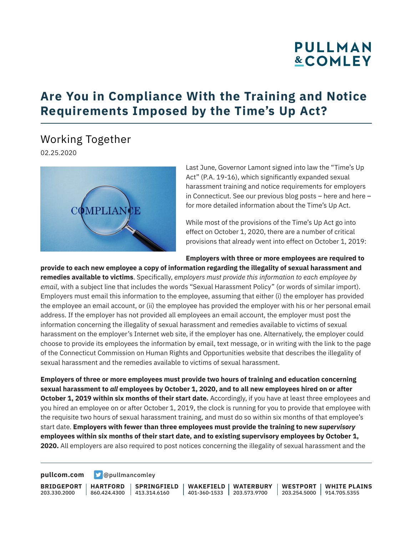# **PULLMAN &COMLEY**

## **Are You in Compliance With the Training and Notice Requirements Imposed by the Time's Up Act?**

### Working Together

02.25.2020



Last June, Governor Lamont signed into law the "Time's Up Act" (P.A. 19-16), which significantly expanded sexual harassment training and notice requirements for employers in Connecticut. See our previous blog posts – here and here – for more detailed information about the Time's Up Act.

While most of the provisions of the Time's Up Act go into effect on October 1, 2020, there are a number of critical provisions that already went into effect on October 1, 2019:

#### **Employers with three or more employees are required to**

**provide to each new employee a copy of information regarding the illegality of sexual harassment and remedies available to victims**. Specifically, *employers must provide this information to each employee by email*, with a subject line that includes the words "Sexual Harassment Policy" (or words of similar import). Employers must email this information to the employee, assuming that either (i) the employer has provided the employee an email account, or (ii) the employee has provided the employer with his or her personal email address. If the employer has not provided all employees an email account, the employer must post the information concerning the illegality of sexual harassment and remedies available to victims of sexual harassment on the employer's Internet web site, if the employer has one. Alternatively, the employer could choose to provide its employees the information by email, text message, or in writing with the link to the page of the Connecticut Commission on Human Rights and Opportunities website that describes the illegality of sexual harassment and the remedies available to victims of sexual harassment.

**Employers of three or more employees must provide two hours of training and education concerning sexual harassment to** *all* **employees by October 1, 2020, and to all new employees hired on or after October 1, 2019 within six months of their start date.** Accordingly, if you have at least three employees and you hired an employee on or after October 1, 2019, the clock is running for you to provide that employee with the requisite two hours of sexual harassment training, and must do so within six months of that employee's start date. **Employers with fewer than three employees must provide the training to new** *supervisory* **employees within six months of their start date, and to existing supervisory employees by October 1, 2020.** All employers are also required to post notices concerning the illegality of sexual harassment and the

**[pullcom.com](https://www.pullcom.com) g** [@pullmancomley](https://twitter.com/PullmanComley)

**BRIDGEPORT** 203.330.2000

**HARTFORD**

860.424.4300 413.314.6160 **SPRINGFIELD** **WAKEFIELD** 401-360-1533 203.573.9700 **WATERBURY**